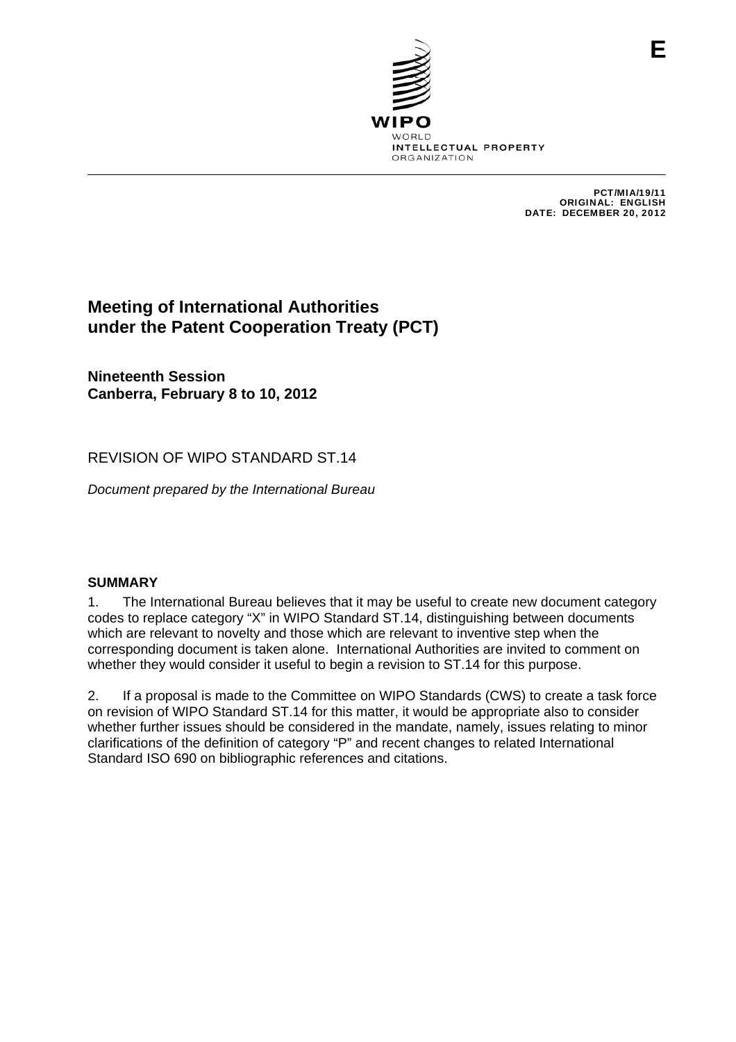

PCT/MIA/19/11 ORIGINAL: ENGLISH DATE: DECEMBER 20, 2012

# **Meeting of International Authorities under the Patent Cooperation Treaty (PCT)**

**Nineteenth Session Canberra, February 8 to 10, 2012** 

REVISION OF WIPO STANDARD ST.14

*Document prepared by the International Bureau* 

## **SUMMARY**

1. The International Bureau believes that it may be useful to create new document category codes to replace category "X" in WIPO Standard ST.14, distinguishing between documents which are relevant to novelty and those which are relevant to inventive step when the corresponding document is taken alone. International Authorities are invited to comment on whether they would consider it useful to begin a revision to ST.14 for this purpose.

2. If a proposal is made to the Committee on WIPO Standards (CWS) to create a task force on revision of WIPO Standard ST.14 for this matter, it would be appropriate also to consider whether further issues should be considered in the mandate, namely, issues relating to minor clarifications of the definition of category "P" and recent changes to related International Standard ISO 690 on bibliographic references and citations.

**E**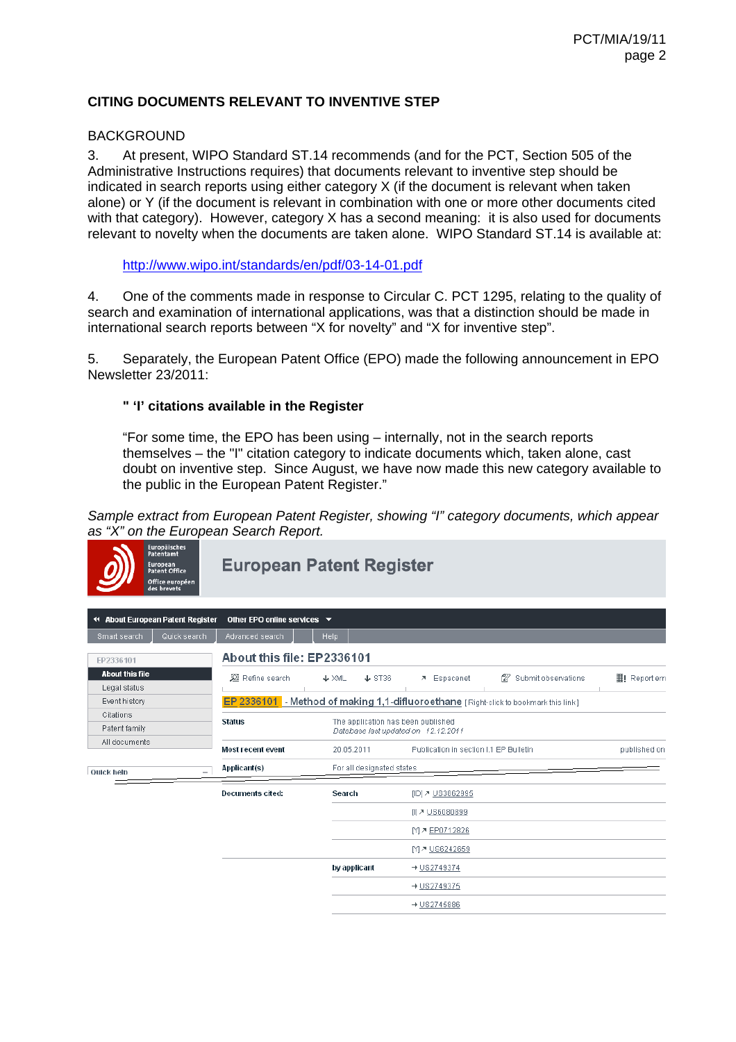# **CITING DOCUMENTS RELEVANT TO INVENTIVE STEP**

#### **BACKGROUND**

3. At present, WIPO Standard ST.14 recommends (and for the PCT, Section 505 of the Administrative Instructions requires) that documents relevant to inventive step should be indicated in search reports using either category X (if the document is relevant when taken alone) or Y (if the document is relevant in combination with one or more other documents cited with that category). However, category X has a second meaning: it is also used for documents relevant to novelty when the documents are taken alone. WIPO Standard ST.14 is available at:

http://www.wipo.int/standards/en/pdf/03-14-01.pdf

4. One of the comments made in response to Circular C. PCT 1295, relating to the quality of search and examination of international applications, was that a distinction should be made in international search reports between "X for novelty" and "X for inventive step".

5. Separately, the European Patent Office (EPO) made the following announcement in EPO Newsletter 23/2011:

#### **" 'I' citations available in the Register**

"For some time, the EPO has been using – internally, not in the search reports themselves – the "I" citation category to indicate documents which, taken alone, cast doubt on inventive step. Since August, we have now made this new category available to the public in the European Patent Register."

*Sample extract from European Patent Register, showing "I" category documents, which appear as "X" on the European Search Report.* 

| <b>Europaisches</b><br>Patentamt<br>European<br>Patent Office<br>Office européen<br>des brevets |                                                                                            | <b>European Patent Register</b>      |                                        |                           |                         |  |  |  |  |  |
|-------------------------------------------------------------------------------------------------|--------------------------------------------------------------------------------------------|--------------------------------------|----------------------------------------|---------------------------|-------------------------|--|--|--|--|--|
| 44 About European Patent Register                                                               | Other EPO online services $\blacktriangledown$                                             |                                      |                                        |                           |                         |  |  |  |  |  |
| Quick search<br>Smart search                                                                    | Advanced search                                                                            | <b>Help</b>                          |                                        |                           |                         |  |  |  |  |  |
| EP2336101                                                                                       | About this file: EP2336101                                                                 |                                      |                                        |                           |                         |  |  |  |  |  |
| <b>About this file</b><br>Legal status                                                          | 2 Refine search                                                                            | $\triangle$ ST36<br>$\downarrow$ XML | ₹ Espacenet                            | 12<br>Submit observations | $\exists$ ! Report erro |  |  |  |  |  |
| Event history                                                                                   | EP 2336101 - Method of making 1,1-difluoroethane [Right-click to bookmark this link]       |                                      |                                        |                           |                         |  |  |  |  |  |
| Citations                                                                                       |                                                                                            |                                      |                                        |                           |                         |  |  |  |  |  |
| Patent family                                                                                   | <b>Status</b><br>The application has been published<br>Database last updated on 12.12.2011 |                                      |                                        |                           |                         |  |  |  |  |  |
| All documents                                                                                   | <b>Most recent event</b>                                                                   | 20.05.2011                           | Publication in section I.1 EP Bulletin | published on              |                         |  |  |  |  |  |
| <b>Ouick help</b>                                                                               | Applicant(s)                                                                               | For all designated states            |                                        |                           |                         |  |  |  |  |  |
|                                                                                                 | Documents cited:                                                                           | Search                               | [ID] 7 US3862995                       |                           |                         |  |  |  |  |  |
|                                                                                                 |                                                                                            |                                      | <b>III ァ US6080899</b>                 |                           |                         |  |  |  |  |  |
|                                                                                                 |                                                                                            |                                      | M & EP0712826                          |                           |                         |  |  |  |  |  |
|                                                                                                 |                                                                                            |                                      | M & US6242659                          |                           |                         |  |  |  |  |  |
|                                                                                                 |                                                                                            | by applicant                         | $+052749374$                           |                           |                         |  |  |  |  |  |
|                                                                                                 |                                                                                            |                                      | $+082749375$                           |                           |                         |  |  |  |  |  |
|                                                                                                 |                                                                                            |                                      | → US2745886                            |                           |                         |  |  |  |  |  |
|                                                                                                 |                                                                                            |                                      |                                        |                           |                         |  |  |  |  |  |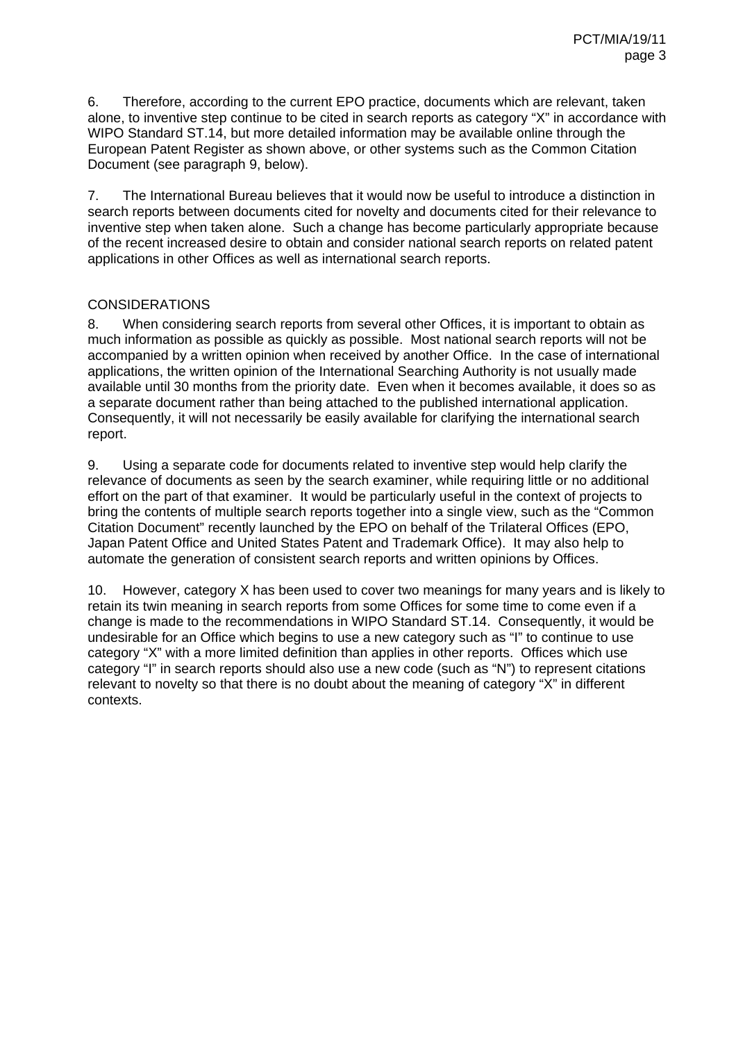6. Therefore, according to the current EPO practice, documents which are relevant, taken alone, to inventive step continue to be cited in search reports as category "X" in accordance with WIPO Standard ST.14, but more detailed information may be available online through the European Patent Register as shown above, or other systems such as the Common Citation Document (see paragraph 9, below).

7. The International Bureau believes that it would now be useful to introduce a distinction in search reports between documents cited for novelty and documents cited for their relevance to inventive step when taken alone. Such a change has become particularly appropriate because of the recent increased desire to obtain and consider national search reports on related patent applications in other Offices as well as international search reports.

## **CONSIDERATIONS**

8. When considering search reports from several other Offices, it is important to obtain as much information as possible as quickly as possible. Most national search reports will not be accompanied by a written opinion when received by another Office. In the case of international applications, the written opinion of the International Searching Authority is not usually made available until 30 months from the priority date. Even when it becomes available, it does so as a separate document rather than being attached to the published international application. Consequently, it will not necessarily be easily available for clarifying the international search report.

9. Using a separate code for documents related to inventive step would help clarify the relevance of documents as seen by the search examiner, while requiring little or no additional effort on the part of that examiner. It would be particularly useful in the context of projects to bring the contents of multiple search reports together into a single view, such as the "Common Citation Document" recently launched by the EPO on behalf of the Trilateral Offices (EPO, Japan Patent Office and United States Patent and Trademark Office). It may also help to automate the generation of consistent search reports and written opinions by Offices.

10. However, category X has been used to cover two meanings for many years and is likely to retain its twin meaning in search reports from some Offices for some time to come even if a change is made to the recommendations in WIPO Standard ST.14. Consequently, it would be undesirable for an Office which begins to use a new category such as "I" to continue to use category "X" with a more limited definition than applies in other reports. Offices which use category "I" in search reports should also use a new code (such as "N") to represent citations relevant to novelty so that there is no doubt about the meaning of category "X" in different contexts.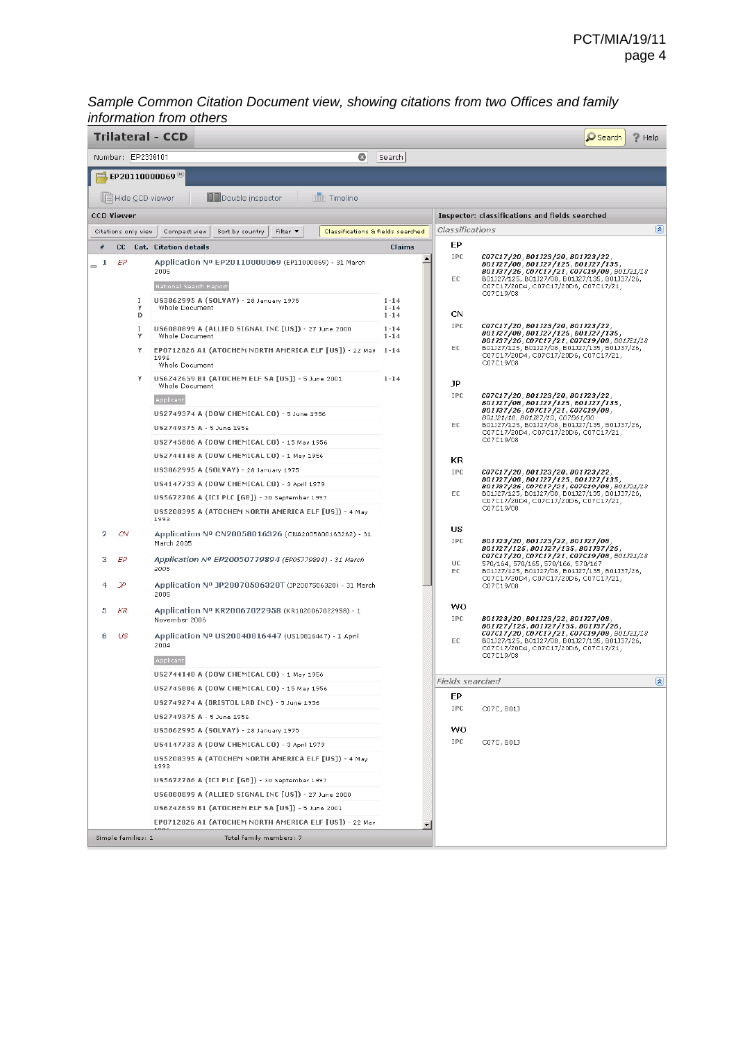#### *Sample Common Citation Document view, showing citations from two Offices and family information from others*

| Trilateral - CCD<br>$\Omega$ Search<br>/ Help                                                                              |                                               |        |                                                                                  |                      |                                                |                                                                                                                                                                           |  |  |  |
|----------------------------------------------------------------------------------------------------------------------------|-----------------------------------------------|--------|----------------------------------------------------------------------------------|----------------------|------------------------------------------------|---------------------------------------------------------------------------------------------------------------------------------------------------------------------------|--|--|--|
| $\circledcirc$<br>Number: EP2336101<br>Search                                                                              |                                               |        |                                                                                  |                      |                                                |                                                                                                                                                                           |  |  |  |
|                                                                                                                            |                                               |        |                                                                                  |                      |                                                |                                                                                                                                                                           |  |  |  |
| $\blacksquare$ EP20110000069 $^{\circledR}$                                                                                |                                               |        |                                                                                  |                      |                                                |                                                                                                                                                                           |  |  |  |
|                                                                                                                            |                                               |        | <b>mm</b> Timeline<br><b>Del</b> Double inspector<br>UI≣ Hide CCD viewer         |                      |                                                |                                                                                                                                                                           |  |  |  |
| <b>CCD Viewer</b>                                                                                                          |                                               |        |                                                                                  |                      | Inspector: classifications and fields searched |                                                                                                                                                                           |  |  |  |
| Classifications & fields searched<br>Citations only view<br>Compact view<br>Sort by country<br>Filter $\blacktriangledown$ |                                               |        | 図<br>Classifications                                                             |                      |                                                |                                                                                                                                                                           |  |  |  |
| #                                                                                                                          |                                               |        | CC Cat. Citation details                                                         | Claims               | EP                                             |                                                                                                                                                                           |  |  |  |
| -1<br>$\equiv$                                                                                                             | EP                                            |        | Application Nº EP20110000069 (EP11000069) - 31 March                             | ٠                    | IPC                                            | C07C17/20, B01J23/20, B01J23/22,<br>B01327/08, B01327/125, B01327/135,                                                                                                    |  |  |  |
|                                                                                                                            |                                               |        | 2005                                                                             |                      | EC                                             | B01J37/26, C07C17/21, C07C19/08, B01J21/18<br>B01J27/125, B01J27/08, B01J27/135, B01J37/26,                                                                               |  |  |  |
|                                                                                                                            |                                               |        | National Search Report                                                           |                      |                                                | C07C17/20D4, C07C17/20D6, C07C17/21,<br>C07C19/08                                                                                                                         |  |  |  |
|                                                                                                                            |                                               | 1<br>Y | US3862995 A (SOLVAY) - 28 January 1975<br>Whole Document                         | $1 - 14$<br>$1 - 14$ |                                                |                                                                                                                                                                           |  |  |  |
|                                                                                                                            |                                               | D      |                                                                                  | $1 - 14$             | CN<br><b>IPC</b>                               | C07C17/20, B01J23/20, B01J23/22,                                                                                                                                          |  |  |  |
|                                                                                                                            |                                               | 1<br>Υ | US6080899 A (ALLIED SIGNAL INC [US]) - 27 June 2000<br>Whole Document            | $1 - 14$<br>$1 - 14$ |                                                | B01327/08, B01327/125, B01327/135,<br>B01337/26, C07C17/21, C07C19/08, B01321/18                                                                                          |  |  |  |
|                                                                                                                            |                                               | Y      | EP0712826 A1 (ATOCHEM NORTH AMERICA ELF [US]) - 22 May<br>1996<br>Whole Document | $1 - 14$             | EC                                             | B01J27/125, B01J27/08, B01J27/135, B01J37/26,<br>C07C17/20D4, C07C17/20D6, C07C17/21,<br>C07C19/08                                                                        |  |  |  |
|                                                                                                                            |                                               |        | US6242659 B1 (ATOCHEM ELF SA [US]) - 5 June 2001                                 | $1 - 14$             | JP                                             |                                                                                                                                                                           |  |  |  |
|                                                                                                                            |                                               |        | Whole Document                                                                   |                      | <b>IPC</b>                                     | C07C17/20, B01J23/20, B01J23/22,                                                                                                                                          |  |  |  |
|                                                                                                                            |                                               |        | Applicant<br>US2749374 A (DOW CHEMICAL CO) - 5 June 1956                         |                      |                                                | B01327/08, B01327/125, B01327/135,<br>B01137/26, C07C17/21, C07C19/08,                                                                                                    |  |  |  |
|                                                                                                                            |                                               |        | US2749375 A - 5 June 1956                                                        |                      | EC                                             | B01J21/18, B01J27/10, C07B61/00<br>B01J27/125, B01J27/08, B01J27/135, B01J37/26,                                                                                          |  |  |  |
|                                                                                                                            |                                               |        | US2745886 A (DOW CHEMICAL CO) - 15 May 1956                                      |                      |                                                | C07C17/20D4, C07C17/20D6, C07C17/21,<br>C07C19/08                                                                                                                         |  |  |  |
|                                                                                                                            |                                               |        | US2744148 A (DOW CHEMICAL CO) - 1 May 1956                                       |                      |                                                |                                                                                                                                                                           |  |  |  |
|                                                                                                                            |                                               |        | US3862995 A (SOLVAY) - 28 January 1975                                           |                      | KR<br><b>IPC</b>                               |                                                                                                                                                                           |  |  |  |
|                                                                                                                            |                                               |        | US4147733 A (DOW CHEMICAL CO) - 3 April 1979                                     |                      |                                                | C07C17/20, B01J23/20, B01J23/22,<br>B01327/08, B01327/125, B01327/135,                                                                                                    |  |  |  |
|                                                                                                                            |                                               |        | US5672786 A (ICI PLC [GB]) - 30 September 1997                                   |                      | EC                                             | B01337/26, C07C17/21, C07C19/08, B01321/18<br>B01J27/125, B01J27/08, B01J27/135, B01J37/26,                                                                               |  |  |  |
|                                                                                                                            |                                               |        | US5208395 A (ATOCHEM NORTH AMERICA ELF [US]) - 4 May                             |                      |                                                | C07C17/20D4, C07C17/20D6, C07C17/21,<br>C07C19/08                                                                                                                         |  |  |  |
|                                                                                                                            |                                               |        | 1993                                                                             |                      | US                                             |                                                                                                                                                                           |  |  |  |
| 2                                                                                                                          | CN                                            |        | Application Nº CN20058016326 (CNA2005800163262) - 31<br>March 2005               |                      | IPC                                            | B01323/20, B01323/22, B01327/08,<br>B01327/125, B01327/135, B01337/26,                                                                                                    |  |  |  |
| з                                                                                                                          | ЕP                                            |        | Application Nº EP20050779894 (EP05779894) - 31 March<br>2005                     |                      | <b>UC</b><br>EC                                | C07C17/20, C07C17/21, C07C19/08, B01J21/18<br>570/164, 570/165, 570/166, 570/167<br>B01J27/125, B01J27/08, B01J27/135, B01J37/26,<br>C07C17/20D4, C07C17/20D6, C07C17/21, |  |  |  |
| 4                                                                                                                          | ЭP                                            |        | Application Nº JP20070506320T (JP2007506320) - 31 March<br>2005                  |                      |                                                | C07C19/08                                                                                                                                                                 |  |  |  |
| 5                                                                                                                          | KR                                            |        | Application Nº KR20067022958 (KR1020067022958) - 1<br>November 2006              |                      | wo<br><b>IPC</b>                               | B01323/20, B01323/22, B01327/08,<br>B01327/125, B01327/135, B01337/26,                                                                                                    |  |  |  |
| 6                                                                                                                          | US<br>2004<br>Applicant                       |        | Application Nº US20040816447 (US10816447) - 1 April                              |                      | EC.                                            | C07C17/20, C07C17/21, C07C19/08, B01J21/18<br>B01J27/125, B01J27/08, B01J27/135, B01J37/26,<br>C07C17/20D4, C07C17/20D6, C07C17/21,<br>C07C19/08                          |  |  |  |
|                                                                                                                            |                                               |        | US2744148 A (DOW CHEMICAL CO) - 1 May 1956                                       |                      |                                                | $[\hat{\mathbf{x}}]$                                                                                                                                                      |  |  |  |
|                                                                                                                            |                                               |        | US2745886 A (DOW CHEMICAL CO) - 15 May 1956                                      |                      | EP.                                            | Fields searched                                                                                                                                                           |  |  |  |
|                                                                                                                            |                                               |        | US2749274 A (BRISTOL LAB INC) - 5 June 1956                                      |                      | IPC                                            | C07C, B01J                                                                                                                                                                |  |  |  |
|                                                                                                                            |                                               |        | US2749375 A - 5 June 1956                                                        |                      |                                                |                                                                                                                                                                           |  |  |  |
|                                                                                                                            |                                               |        | US3862995 A (SOLVAY) - 28 January 1975                                           |                      | wo                                             |                                                                                                                                                                           |  |  |  |
|                                                                                                                            |                                               |        | US4147733 A (DOW CHEMICAL CO) - 3 April 1979                                     |                      | IPC.                                           | C07C, B01J                                                                                                                                                                |  |  |  |
|                                                                                                                            |                                               |        | US5208395 A (ATOCHEM NORTH AMERICA ELF [US]) - 4 May<br>1993                     |                      |                                                |                                                                                                                                                                           |  |  |  |
|                                                                                                                            |                                               |        | US5672786 A (ICI PLC [GB]) - 30 September 1997                                   |                      |                                                |                                                                                                                                                                           |  |  |  |
|                                                                                                                            |                                               |        | US6080899 A (ALLIED SIGNAL INC [US]) - 27 June 2000                              |                      |                                                |                                                                                                                                                                           |  |  |  |
| US6242659 B1 (ATOCHEM ELF SA [US]) - 5 June 2001                                                                           |                                               |        |                                                                                  |                      |                                                |                                                                                                                                                                           |  |  |  |
|                                                                                                                            |                                               |        | EP0712826 A1 (ATOCHEM NORTH AMERICA ELF [US]) - 22 May                           |                      |                                                |                                                                                                                                                                           |  |  |  |
|                                                                                                                            | Simple families: 1<br>Total family members: 7 |        |                                                                                  |                      |                                                |                                                                                                                                                                           |  |  |  |
|                                                                                                                            |                                               |        |                                                                                  |                      |                                                |                                                                                                                                                                           |  |  |  |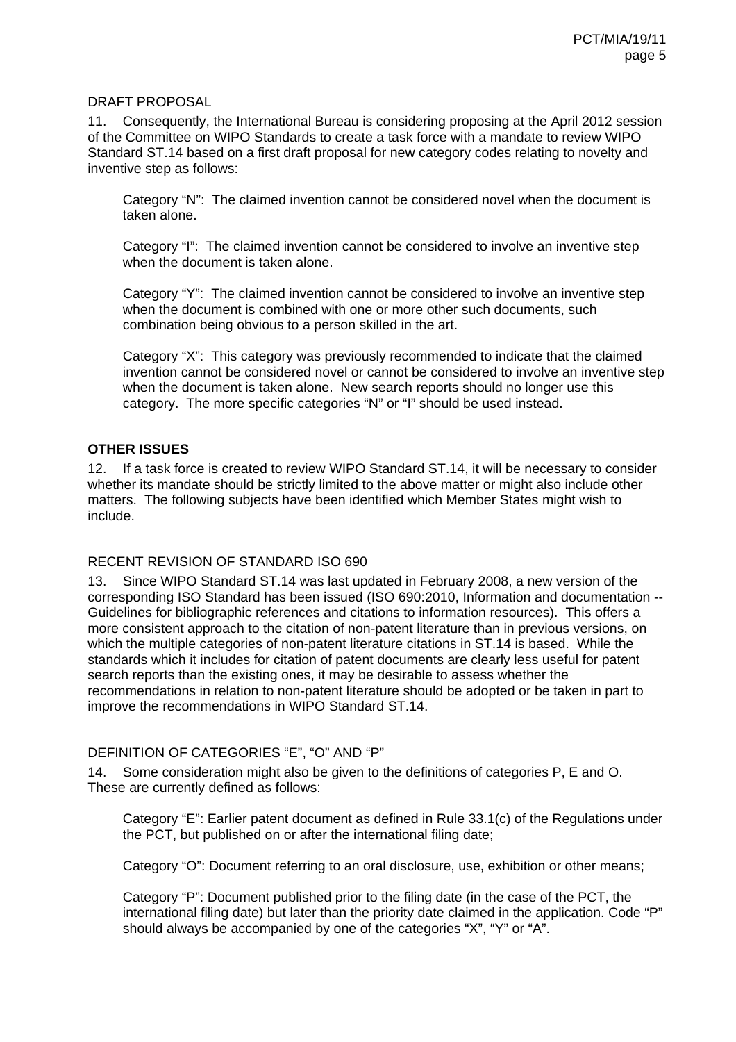## DRAFT PROPOSAL

11. Consequently, the International Bureau is considering proposing at the April 2012 session of the Committee on WIPO Standards to create a task force with a mandate to review WIPO Standard ST.14 based on a first draft proposal for new category codes relating to novelty and inventive step as follows:

Category "N": The claimed invention cannot be considered novel when the document is taken alone.

Category "I": The claimed invention cannot be considered to involve an inventive step when the document is taken alone.

Category "Y": The claimed invention cannot be considered to involve an inventive step when the document is combined with one or more other such documents, such combination being obvious to a person skilled in the art.

Category "X": This category was previously recommended to indicate that the claimed invention cannot be considered novel or cannot be considered to involve an inventive step when the document is taken alone. New search reports should no longer use this category. The more specific categories "N" or "I" should be used instead.

#### **OTHER ISSUES**

12. If a task force is created to review WIPO Standard ST.14, it will be necessary to consider whether its mandate should be strictly limited to the above matter or might also include other matters. The following subjects have been identified which Member States might wish to include.

## RECENT REVISION OF STANDARD ISO 690

13. Since WIPO Standard ST.14 was last updated in February 2008, a new version of the corresponding ISO Standard has been issued (ISO 690:2010, Information and documentation -- Guidelines for bibliographic references and citations to information resources). This offers a more consistent approach to the citation of non-patent literature than in previous versions, on which the multiple categories of non-patent literature citations in ST.14 is based. While the standards which it includes for citation of patent documents are clearly less useful for patent search reports than the existing ones, it may be desirable to assess whether the recommendations in relation to non-patent literature should be adopted or be taken in part to improve the recommendations in WIPO Standard ST.14.

## DEFINITION OF CATEGORIES "E", "O" AND "P"

14. Some consideration might also be given to the definitions of categories P, E and O. These are currently defined as follows:

Category "E": Earlier patent document as defined in Rule 33.1(c) of the Regulations under the PCT, but published on or after the international filing date;

Category "O": Document referring to an oral disclosure, use, exhibition or other means;

Category "P": Document published prior to the filing date (in the case of the PCT, the international filing date) but later than the priority date claimed in the application. Code "P" should always be accompanied by one of the categories "X", "Y" or "A".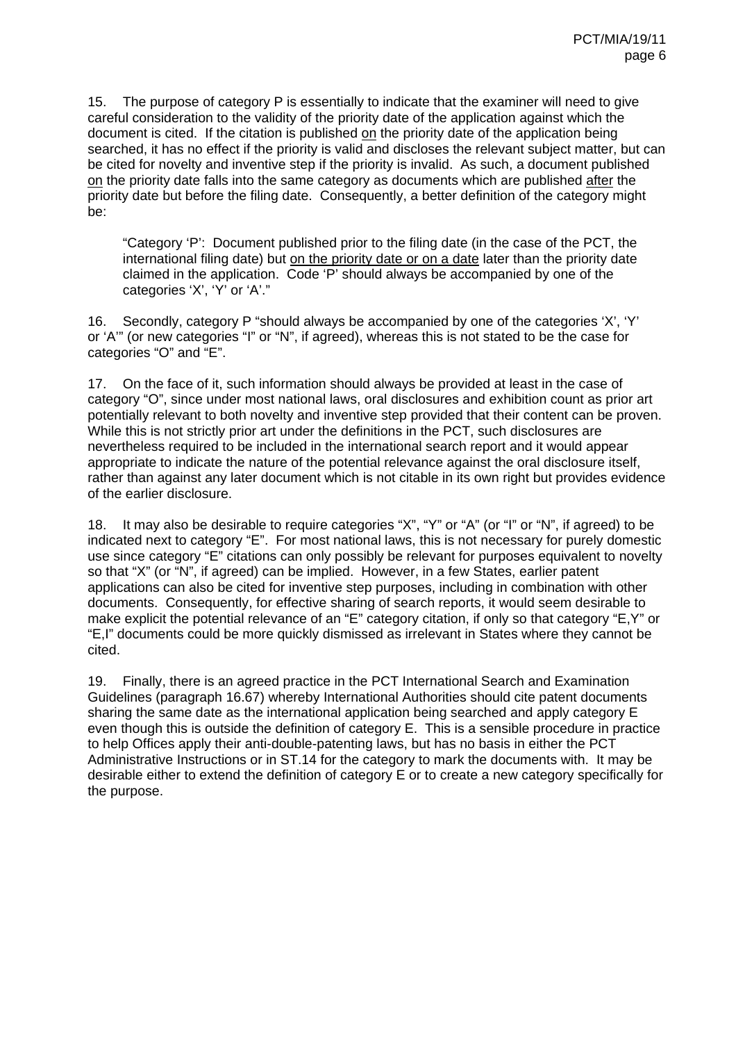15. The purpose of category P is essentially to indicate that the examiner will need to give careful consideration to the validity of the priority date of the application against which the document is cited. If the citation is published on the priority date of the application being searched, it has no effect if the priority is valid and discloses the relevant subject matter, but can be cited for novelty and inventive step if the priority is invalid. As such, a document published on the priority date falls into the same category as documents which are published after the priority date but before the filing date. Consequently, a better definition of the category might be:

"Category 'P': Document published prior to the filing date (in the case of the PCT, the international filing date) but on the priority date or on a date later than the priority date claimed in the application. Code 'P' should always be accompanied by one of the categories 'X', 'Y' or 'A'."

16. Secondly, category P "should always be accompanied by one of the categories 'X', 'Y' or 'A'" (or new categories "I" or "N", if agreed), whereas this is not stated to be the case for categories "O" and "E".

17. On the face of it, such information should always be provided at least in the case of category "O", since under most national laws, oral disclosures and exhibition count as prior art potentially relevant to both novelty and inventive step provided that their content can be proven. While this is not strictly prior art under the definitions in the PCT, such disclosures are nevertheless required to be included in the international search report and it would appear appropriate to indicate the nature of the potential relevance against the oral disclosure itself, rather than against any later document which is not citable in its own right but provides evidence of the earlier disclosure.

18. It may also be desirable to require categories "X", "Y" or "A" (or "I" or "N", if agreed) to be indicated next to category "E". For most national laws, this is not necessary for purely domestic use since category "E" citations can only possibly be relevant for purposes equivalent to novelty so that "X" (or "N", if agreed) can be implied. However, in a few States, earlier patent applications can also be cited for inventive step purposes, including in combination with other documents. Consequently, for effective sharing of search reports, it would seem desirable to make explicit the potential relevance of an "E" category citation, if only so that category "E,Y" or "E,I" documents could be more quickly dismissed as irrelevant in States where they cannot be cited.

19. Finally, there is an agreed practice in the PCT International Search and Examination Guidelines (paragraph 16.67) whereby International Authorities should cite patent documents sharing the same date as the international application being searched and apply category E even though this is outside the definition of category E. This is a sensible procedure in practice to help Offices apply their anti-double-patenting laws, but has no basis in either the PCT Administrative Instructions or in ST.14 for the category to mark the documents with. It may be desirable either to extend the definition of category E or to create a new category specifically for the purpose.